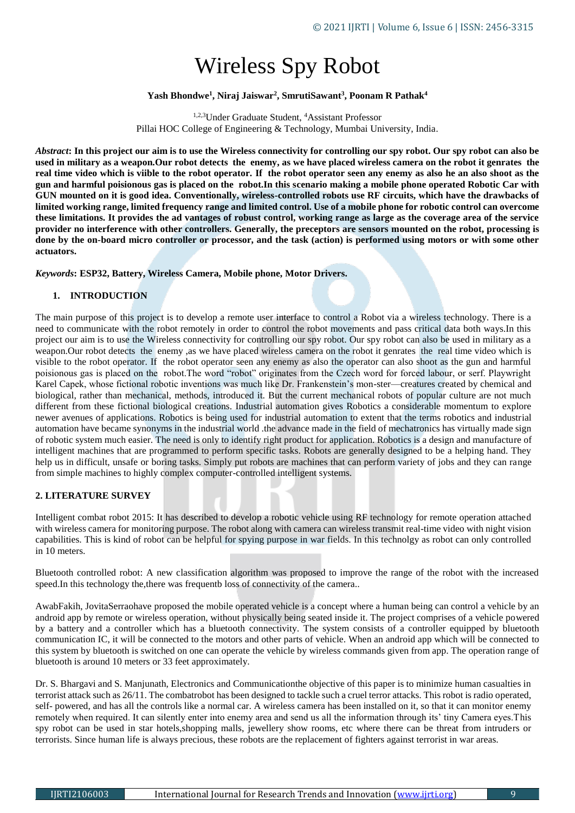# Wireless Spy Robot

# **Yash Bhondwe<sup>1</sup> , Niraj Jaiswar<sup>2</sup> , SmrutiSawant<sup>3</sup> , Poonam R Pathak<sup>4</sup>**

1,2,3Under Graduate Student, <sup>4</sup>Assistant Professor Pillai HOC College of Engineering & Technology, Mumbai University, India.

*Abstract***: In this project our aim is to use the Wireless connectivity for controlling our spy robot. Our spy robot can also be used in military as a weapon.Our robot detects the enemy, as we have placed wireless camera on the robot it genrates the real time video which is viible to the robot operator. If the robot operator seen any enemy as also he an also shoot as the gun and harmful poisionous gas is placed on the robot.In this scenario making a mobile phone operated Robotic Car with GUN mounted on it is good idea. Conventionally, wireless-controlled robots use RF circuits, which have the drawbacks of limited working range, limited frequency range and limited control. Use of a mobile phone for robotic control can overcome these limitations. It provides the ad vantages of robust control, working range as large as the coverage area of the service provider no interference with other controllers. Generally, the preceptors are sensors mounted on the robot, processing is done by the on-board micro controller or processor, and the task (action) is performed using motors or with some other actuators.**

*Keywords***: ESP32, Battery, Wireless Camera, Mobile phone, Motor Drivers.**

## **1. INTRODUCTION**

The main purpose of this project is to develop a remote user interface to control a Robot via a wireless technology. There is a need to communicate with the robot remotely in order to control the robot movements and pass critical data both ways.In this project our aim is to use the Wireless connectivity for controlling our spy robot. Our spy robot can also be used in military as a weapon.Our robot detects the enemy ,as we have placed wireless camera on the robot it genrates the real time video which is visible to the robot operator. If the robot operator seen any enemy as also the operator can also shoot as the gun and harmful poisionous gas is placed on the robot.The word "robot" originates from the Czech word for forced labour, or serf. Playwright Karel Capek, whose fictional robotic inventions was much like Dr. Frankenstein's mon-ster—creatures created by chemical and biological, rather than mechanical, methods, introduced it. But the current mechanical robots of popular culture are not much different from these fictional biological creations. Industrial automation gives Robotics a considerable momentum to explore newer avenues of applications. Robotics is being used for industrial automation to extent that the terms robotics and industrial automation have became synonyms in the industrial world .the advance made in the field of mechatronics has virtually made sign of robotic system much easier. The need is only to identify right product for application. Robotics is a design and manufacture of intelligent machines that are programmed to perform specific tasks. Robots are generally designed to be a helping hand. They help us in difficult, unsafe or boring tasks. Simply put robots are machines that can perform variety of jobs and they can range from simple machines to highly complex computer-controlled intelligent systems.

### **2. LITERATURE SURVEY**

Intelligent combat robot 2015: It has described to develop a robotic vehicle using RF technology for remote operation attached with wireless camera for monitoring purpose. The robot along with camera can wireless transmit real-time video with night vision capabilities. This is kind of robot can be helpful for spying purpose in war fields. In this technolgy as robot can only controlled in 10 meters.

Bluetooth controlled robot: A new classification algorithm was proposed to improve the range of the robot with the increased speed.In this technology the,there was frequentb loss of connectivity of the camera..

AwabFakih, JovitaSerraohave proposed the mobile operated vehicle is a concept where a human being can control a vehicle by an android app by remote or wireless operation, without physically being seated inside it. The project comprises of a vehicle powered by a battery and a controller which has a bluetooth connectivity. The system consists of a controller equipped by bluetooth communication IC, it will be connected to the motors and other parts of vehicle. When an android app which will be connected to this system by bluetooth is switched on one can operate the vehicle by wireless commands given from app. The operation range of bluetooth is around 10 meters or 33 feet approximately.

Dr. S. Bhargavi and S. Manjunath, Electronics and Communicationthe objective of this paper is to minimize human casualties in terrorist attack such as 26/11. The combatrobot has been designed to tackle such a cruel terror attacks. This robot is radio operated, self- powered, and has all the controls like a normal car. A wireless camera has been installed on it, so that it can monitor enemy remotely when required. It can silently enter into enemy area and send us all the information through its' tiny Camera eyes.This spy robot can be used in star hotels,shopping malls, jewellery show rooms, etc where there can be threat from intruders or terrorists. Since human life is always precious, these robots are the replacement of fighters against terrorist in war areas.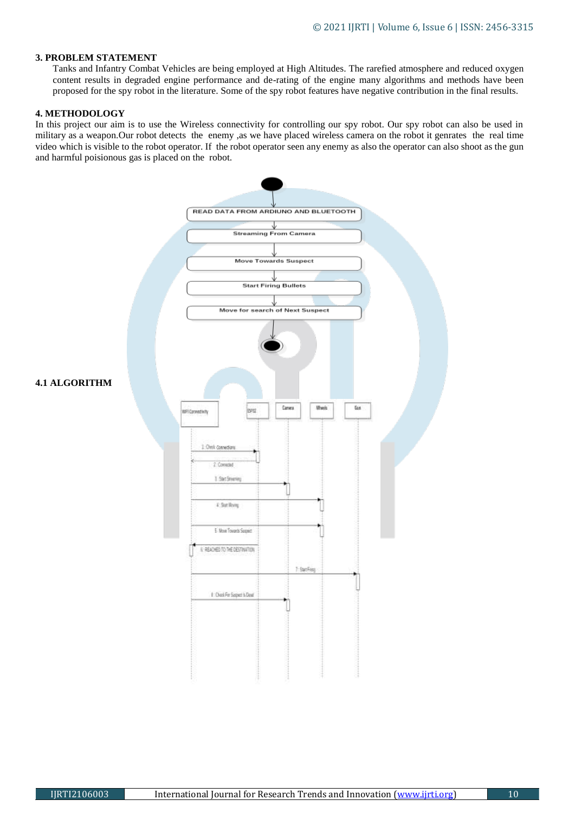## **3. PROBLEM STATEMENT**

Tanks and Infantry Combat Vehicles are being employed at High Altitudes. The rarefied atmosphere and reduced oxygen content results in degraded engine performance and de-rating of the engine many algorithms and methods have been proposed for the spy robot in the literature. Some of the spy robot features have negative contribution in the final results.

#### **4. METHODOLOGY**

In this project our aim is to use the Wireless connectivity for controlling our spy robot. Our spy robot can also be used in military as a weapon.Our robot detects the enemy ,as we have placed wireless camera on the robot it genrates the real time video which is visible to the robot operator. If the robot operator seen any enemy as also the operator can also shoot as the gun and harmful poisionous gas is placed on the robot.

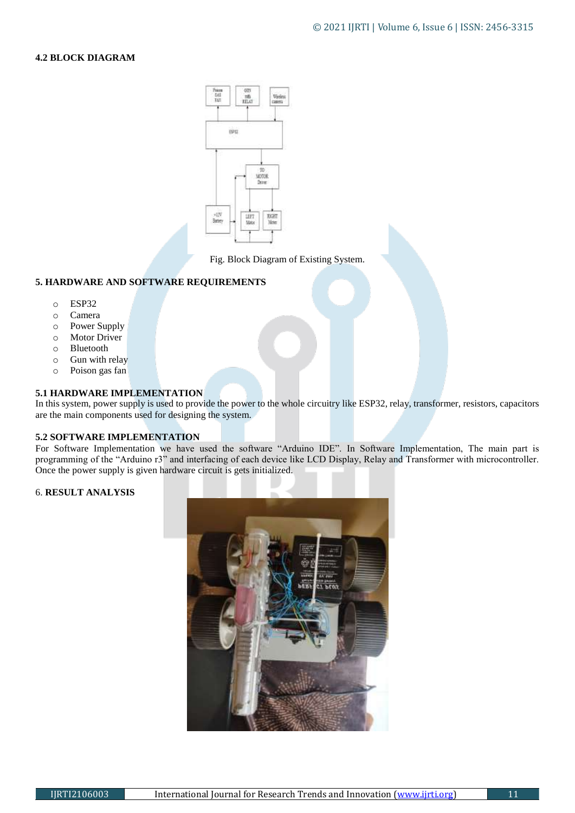# **4.2 BLOCK DIAGRAM**



Fig. Block Diagram of Existing System.

# **5. HARDWARE AND SOFTWARE REQUIREMENTS**

- o ESP32
- o Camera
- o Power Supply
- o Motor Driver
- o Bluetooth
- o Gun with relay
- o Poison gas fan

### **5.1 HARDWARE IMPLEMENTATION**

In this system, power supply is used to provide the power to the whole circuitry like ESP32, relay, transformer, resistors, capacitors are the main components used for designing the system.

### **5.2 SOFTWARE IMPLEMENTATION**

For Software Implementation we have used the software "Arduino IDE". In Software Implementation, The main part is programming of the "Arduino r3" and interfacing of each device like LCD Display, Relay and Transformer with microcontroller. Once the power supply is given hardware circuit is gets initialized.

#### 6. **RESULT ANALYSIS**